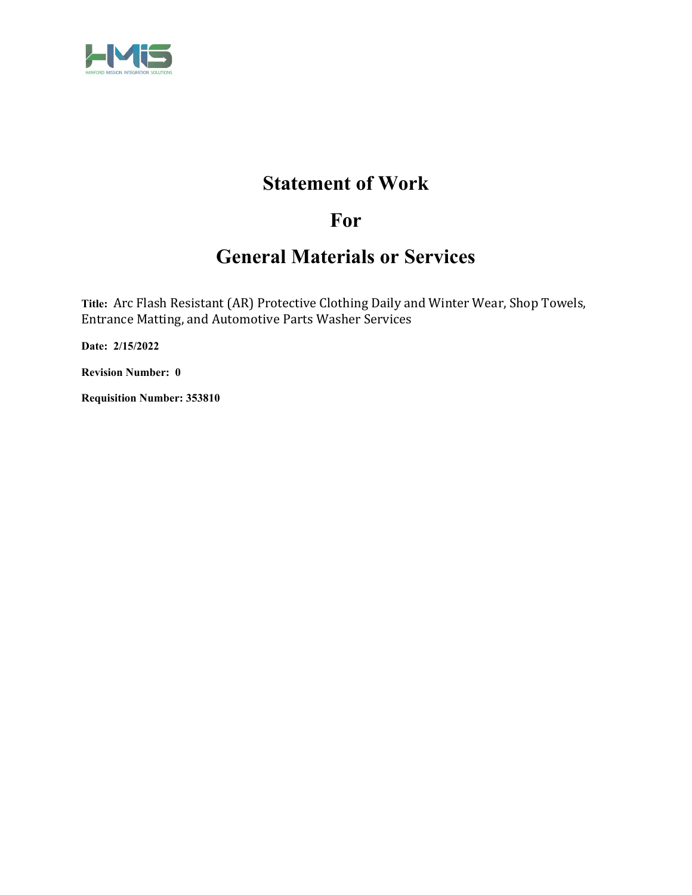

# **Statement of Work**

# **For**

# **General Materials or Services**

**Title:** Arc Flash Resistant (AR) Protective Clothing Daily and Winter Wear, Shop Towels, Entrance Matting, and Automotive Parts Washer Services

**Date: 2/15/2022** 

**Revision Number: 0** 

**Requisition Number: 353810**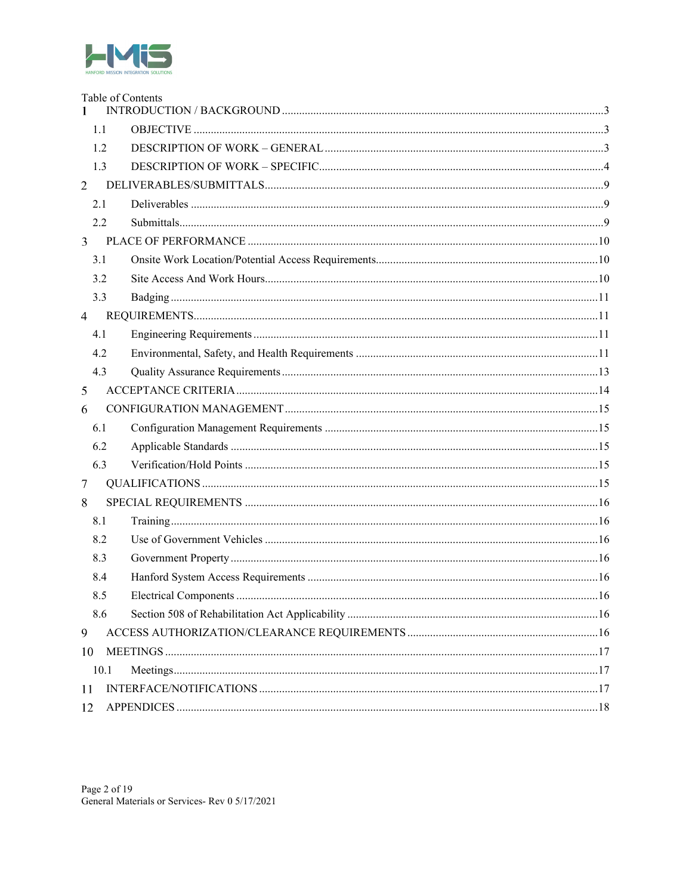

|                | Table of Contents |  |  |
|----------------|-------------------|--|--|
| 1.1            |                   |  |  |
| 1.2            |                   |  |  |
| 1.3            |                   |  |  |
| $\overline{2}$ |                   |  |  |
| 2.1            |                   |  |  |
| 2.2            |                   |  |  |
| 3              |                   |  |  |
| 3.1            |                   |  |  |
| 3.2            |                   |  |  |
| 3.3            |                   |  |  |
| $\overline{4}$ |                   |  |  |
| 4.1            |                   |  |  |
| 4.2            |                   |  |  |
| 4.3            |                   |  |  |
| 5              |                   |  |  |
| 6              |                   |  |  |
| 6.1            |                   |  |  |
| 6.2            |                   |  |  |
| 6.3            |                   |  |  |
| $\overline{7}$ |                   |  |  |
| 8              |                   |  |  |
| 8.1            |                   |  |  |
| 8.2            |                   |  |  |
| 8.3            |                   |  |  |
| 8.4            |                   |  |  |
| 8.5            |                   |  |  |
| 8.6            |                   |  |  |
| 9              |                   |  |  |
| 10             |                   |  |  |
| 10.1           |                   |  |  |
| 11             |                   |  |  |
| 12             |                   |  |  |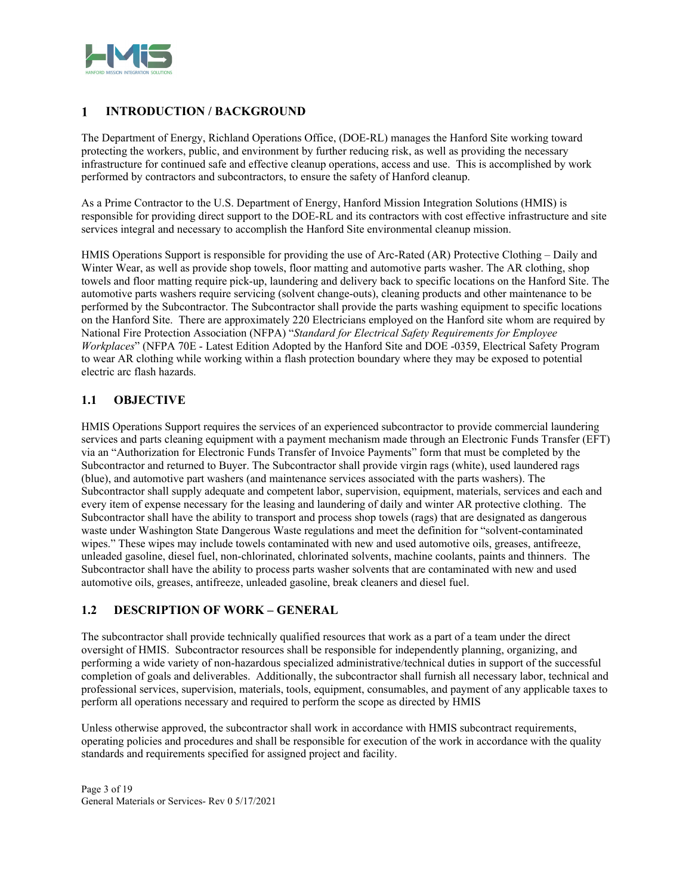

#### $\mathbf{1}$ **INTRODUCTION / BACKGROUND**

The Department of Energy, Richland Operations Office, (DOE-RL) manages the Hanford Site working toward protecting the workers, public, and environment by further reducing risk, as well as providing the necessary infrastructure for continued safe and effective cleanup operations, access and use. This is accomplished by work performed by contractors and subcontractors, to ensure the safety of Hanford cleanup.

As a Prime Contractor to the U.S. Department of Energy, Hanford Mission Integration Solutions (HMIS) is responsible for providing direct support to the DOE-RL and its contractors with cost effective infrastructure and site services integral and necessary to accomplish the Hanford Site environmental cleanup mission.

HMIS Operations Support is responsible for providing the use of Arc-Rated (AR) Protective Clothing – Daily and Winter Wear, as well as provide shop towels, floor matting and automotive parts washer. The AR clothing, shop towels and floor matting require pick-up, laundering and delivery back to specific locations on the Hanford Site. The automotive parts washers require servicing (solvent change-outs), cleaning products and other maintenance to be performed by the Subcontractor. The Subcontractor shall provide the parts washing equipment to specific locations on the Hanford Site. There are approximately 220 Electricians employed on the Hanford site whom are required by National Fire Protection Association (NFPA) "*Standard for Electrical Safety Requirements for Employee Workplaces*" (NFPA 70E - Latest Edition Adopted by the Hanford Site and DOE -0359, Electrical Safety Program to wear AR clothing while working within a flash protection boundary where they may be exposed to potential electric arc flash hazards.

# **1.1 OBJECTIVE**

HMIS Operations Support requires the services of an experienced subcontractor to provide commercial laundering services and parts cleaning equipment with a payment mechanism made through an Electronic Funds Transfer (EFT) via an "Authorization for Electronic Funds Transfer of Invoice Payments" form that must be completed by the Subcontractor and returned to Buyer. The Subcontractor shall provide virgin rags (white), used laundered rags (blue), and automotive part washers (and maintenance services associated with the parts washers). The Subcontractor shall supply adequate and competent labor, supervision, equipment, materials, services and each and every item of expense necessary for the leasing and laundering of daily and winter AR protective clothing. The Subcontractor shall have the ability to transport and process shop towels (rags) that are designated as dangerous waste under Washington State Dangerous Waste regulations and meet the definition for "solvent-contaminated wipes." These wipes may include towels contaminated with new and used automotive oils, greases, antifreeze, unleaded gasoline, diesel fuel, non-chlorinated, chlorinated solvents, machine coolants, paints and thinners. The Subcontractor shall have the ability to process parts washer solvents that are contaminated with new and used automotive oils, greases, antifreeze, unleaded gasoline, break cleaners and diesel fuel.

# **1.2 DESCRIPTION OF WORK – GENERAL**

The subcontractor shall provide technically qualified resources that work as a part of a team under the direct oversight of HMIS. Subcontractor resources shall be responsible for independently planning, organizing, and performing a wide variety of non-hazardous specialized administrative/technical duties in support of the successful completion of goals and deliverables. Additionally, the subcontractor shall furnish all necessary labor, technical and professional services, supervision, materials, tools, equipment, consumables, and payment of any applicable taxes to perform all operations necessary and required to perform the scope as directed by HMIS

Unless otherwise approved, the subcontractor shall work in accordance with HMIS subcontract requirements, operating policies and procedures and shall be responsible for execution of the work in accordance with the quality standards and requirements specified for assigned project and facility.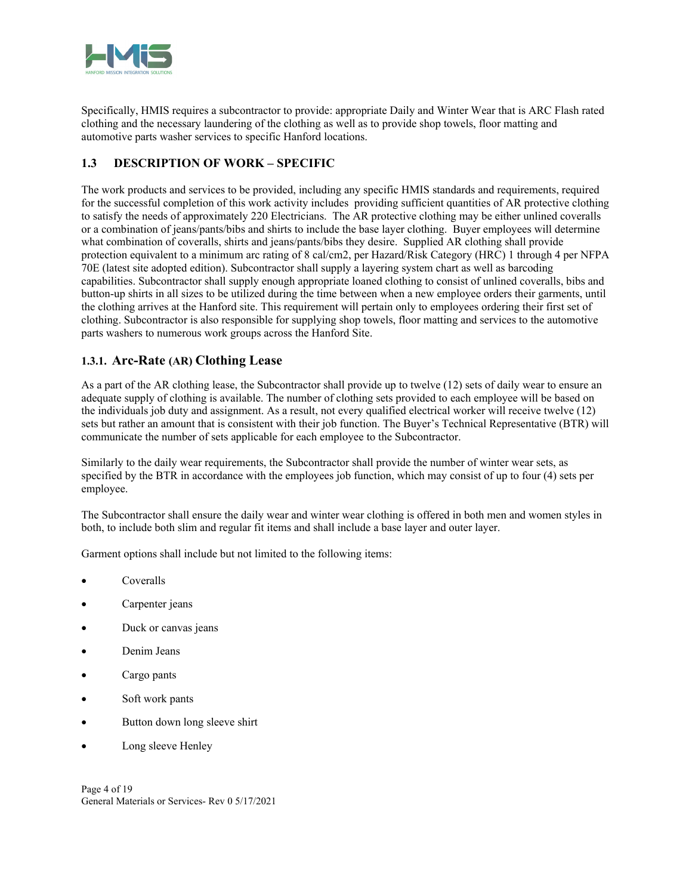

Specifically, HMIS requires a subcontractor to provide: appropriate Daily and Winter Wear that is ARC Flash rated clothing and the necessary laundering of the clothing as well as to provide shop towels, floor matting and automotive parts washer services to specific Hanford locations.

# **1.3 DESCRIPTION OF WORK – SPECIFIC**

The work products and services to be provided, including any specific HMIS standards and requirements, required for the successful completion of this work activity includes providing sufficient quantities of AR protective clothing to satisfy the needs of approximately 220 Electricians. The AR protective clothing may be either unlined coveralls or a combination of jeans/pants/bibs and shirts to include the base layer clothing. Buyer employees will determine what combination of coveralls, shirts and jeans/pants/bibs they desire. Supplied AR clothing shall provide protection equivalent to a minimum arc rating of 8 cal/cm2, per Hazard/Risk Category (HRC) 1 through 4 per NFPA 70E (latest site adopted edition). Subcontractor shall supply a layering system chart as well as barcoding capabilities. Subcontractor shall supply enough appropriate loaned clothing to consist of unlined coveralls, bibs and button-up shirts in all sizes to be utilized during the time between when a new employee orders their garments, until the clothing arrives at the Hanford site. This requirement will pertain only to employees ordering their first set of clothing. Subcontractor is also responsible for supplying shop towels, floor matting and services to the automotive parts washers to numerous work groups across the Hanford Site.

# **1.3.1. Arc-Rate (AR) Clothing Lease**

As a part of the AR clothing lease, the Subcontractor shall provide up to twelve (12) sets of daily wear to ensure an adequate supply of clothing is available. The number of clothing sets provided to each employee will be based on the individuals job duty and assignment. As a result, not every qualified electrical worker will receive twelve (12) sets but rather an amount that is consistent with their job function. The Buyer's Technical Representative (BTR) will communicate the number of sets applicable for each employee to the Subcontractor.

Similarly to the daily wear requirements, the Subcontractor shall provide the number of winter wear sets, as specified by the BTR in accordance with the employees job function, which may consist of up to four (4) sets per employee.

The Subcontractor shall ensure the daily wear and winter wear clothing is offered in both men and women styles in both, to include both slim and regular fit items and shall include a base layer and outer layer.

Garment options shall include but not limited to the following items:

- Coveralls
- Carpenter jeans
- Duck or canvas jeans
- Denim Jeans
- Cargo pants
- Soft work pants
- Button down long sleeve shirt
- Long sleeve Henley

Page 4 of 19 General Materials or Services- Rev 0 5/17/2021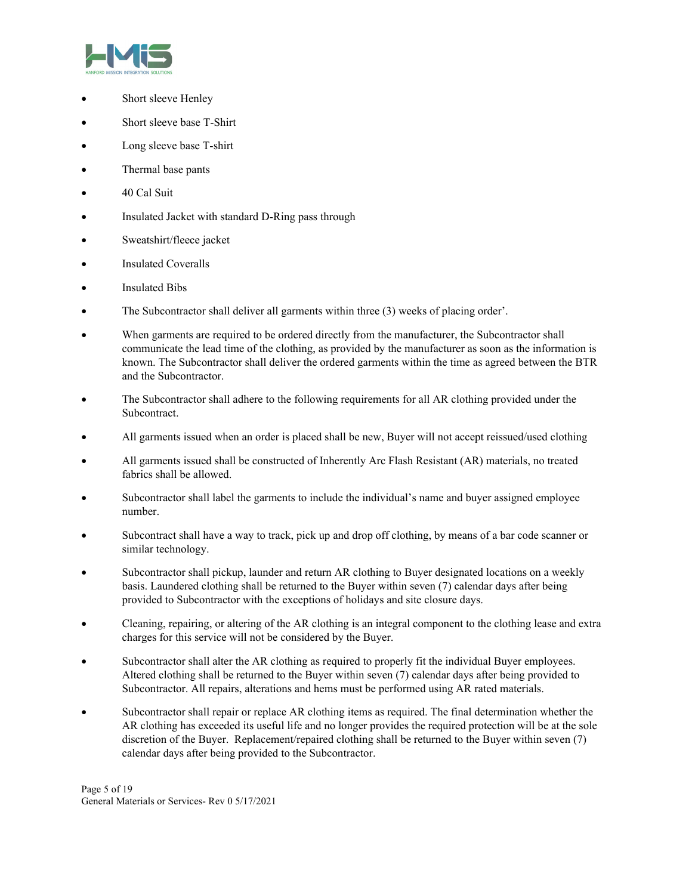

- Short sleeve Henley
- Short sleeve base T-Shirt
- Long sleeve base T-shirt
- Thermal base pants
- 40 Cal Suit
- Insulated Jacket with standard D-Ring pass through
- Sweatshirt/fleece jacket
- Insulated Coveralls
- Insulated Bibs
- The Subcontractor shall deliver all garments within three (3) weeks of placing order'.
- When garments are required to be ordered directly from the manufacturer, the Subcontractor shall communicate the lead time of the clothing, as provided by the manufacturer as soon as the information is known. The Subcontractor shall deliver the ordered garments within the time as agreed between the BTR and the Subcontractor.
- The Subcontractor shall adhere to the following requirements for all AR clothing provided under the Subcontract.
- All garments issued when an order is placed shall be new, Buyer will not accept reissued/used clothing
- All garments issued shall be constructed of Inherently Arc Flash Resistant (AR) materials, no treated fabrics shall be allowed.
- Subcontractor shall label the garments to include the individual's name and buyer assigned employee number.
- Subcontract shall have a way to track, pick up and drop off clothing, by means of a bar code scanner or similar technology.
- Subcontractor shall pickup, launder and return AR clothing to Buyer designated locations on a weekly basis. Laundered clothing shall be returned to the Buyer within seven (7) calendar days after being provided to Subcontractor with the exceptions of holidays and site closure days.
- Cleaning, repairing, or altering of the AR clothing is an integral component to the clothing lease and extra charges for this service will not be considered by the Buyer.
- Subcontractor shall alter the AR clothing as required to properly fit the individual Buyer employees. Altered clothing shall be returned to the Buyer within seven (7) calendar days after being provided to Subcontractor. All repairs, alterations and hems must be performed using AR rated materials.
- Subcontractor shall repair or replace AR clothing items as required. The final determination whether the AR clothing has exceeded its useful life and no longer provides the required protection will be at the sole discretion of the Buyer. Replacement/repaired clothing shall be returned to the Buyer within seven (7) calendar days after being provided to the Subcontractor.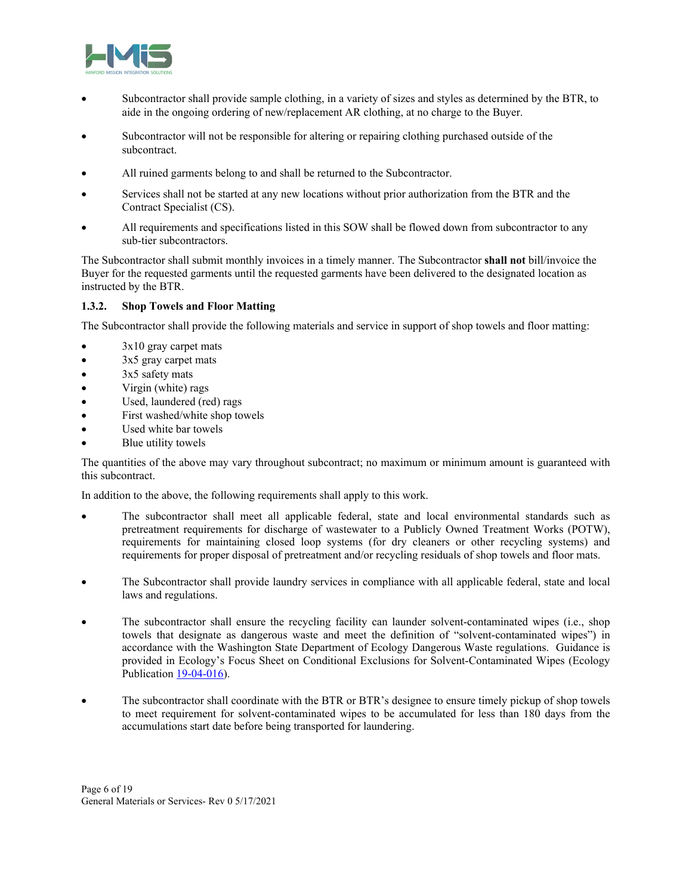

- Subcontractor shall provide sample clothing, in a variety of sizes and styles as determined by the BTR, to aide in the ongoing ordering of new/replacement AR clothing, at no charge to the Buyer.
- Subcontractor will not be responsible for altering or repairing clothing purchased outside of the subcontract.
- All ruined garments belong to and shall be returned to the Subcontractor.
- Services shall not be started at any new locations without prior authorization from the BTR and the Contract Specialist (CS).
- All requirements and specifications listed in this SOW shall be flowed down from subcontractor to any sub-tier subcontractors.

The Subcontractor shall submit monthly invoices in a timely manner. The Subcontractor **shall not** bill/invoice the Buyer for the requested garments until the requested garments have been delivered to the designated location as instructed by the BTR.

### **1.3.2. Shop Towels and Floor Matting**

The Subcontractor shall provide the following materials and service in support of shop towels and floor matting:

- 3x10 gray carpet mats
- 3x5 gray carpet mats
- $\bullet$  3x5 safety mats
- Virgin (white) rags
- Used, laundered (red) rags
- First washed/white shop towels
- Used white bar towels
- Blue utility towels

The quantities of the above may vary throughout subcontract; no maximum or minimum amount is guaranteed with this subcontract.

In addition to the above, the following requirements shall apply to this work.

- The subcontractor shall meet all applicable federal, state and local environmental standards such as pretreatment requirements for discharge of wastewater to a Publicly Owned Treatment Works (POTW), requirements for maintaining closed loop systems (for dry cleaners or other recycling systems) and requirements for proper disposal of pretreatment and/or recycling residuals of shop towels and floor mats.
- The Subcontractor shall provide laundry services in compliance with all applicable federal, state and local laws and regulations.
- The subcontractor shall ensure the recycling facility can launder solvent-contaminated wipes (i.e., shop towels that designate as dangerous waste and meet the definition of "solvent-contaminated wipes") in accordance with the Washington State Department of Ecology Dangerous Waste regulations. Guidance is provided in Ecology's Focus Sheet on Conditional Exclusions for Solvent-Contaminated Wipes (Ecology Publication 19-04-016).
- The subcontractor shall coordinate with the BTR or BTR's designee to ensure timely pickup of shop towels to meet requirement for solvent-contaminated wipes to be accumulated for less than 180 days from the accumulations start date before being transported for laundering.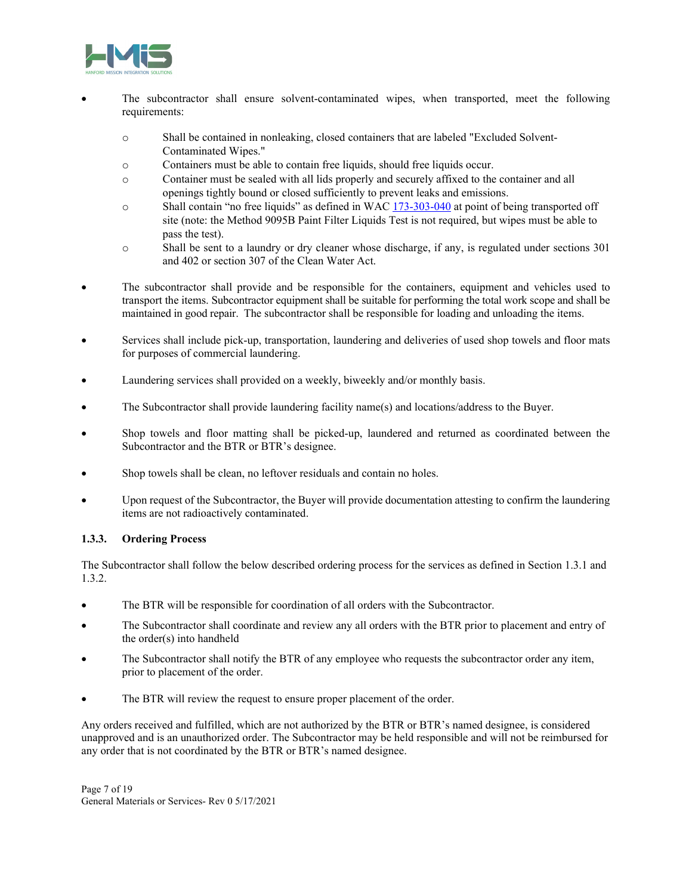

- The subcontractor shall ensure solvent-contaminated wipes, when transported, meet the following requirements:
	- o Shall be contained in nonleaking, closed containers that are labeled "Excluded Solvent-Contaminated Wipes."
	- o Containers must be able to contain free liquids, should free liquids occur.
	- o Container must be sealed with all lids properly and securely affixed to the container and all openings tightly bound or closed sufficiently to prevent leaks and emissions.
	- o Shall contain "no free liquids" as defined in WAC 173-303-040 at point of being transported off site (note: the Method 9095B Paint Filter Liquids Test is not required, but wipes must be able to pass the test).
	- o Shall be sent to a laundry or dry cleaner whose discharge, if any, is regulated under sections 301 and 402 or section 307 of the Clean Water Act.
- The subcontractor shall provide and be responsible for the containers, equipment and vehicles used to transport the items. Subcontractor equipment shall be suitable for performing the total work scope and shall be maintained in good repair. The subcontractor shall be responsible for loading and unloading the items.
- Services shall include pick-up, transportation, laundering and deliveries of used shop towels and floor mats for purposes of commercial laundering.
- Laundering services shall provided on a weekly, biweekly and/or monthly basis.
- The Subcontractor shall provide laundering facility name(s) and locations/address to the Buyer.
- Shop towels and floor matting shall be picked-up, laundered and returned as coordinated between the Subcontractor and the BTR or BTR's designee.
- Shop towels shall be clean, no leftover residuals and contain no holes.
- Upon request of the Subcontractor, the Buyer will provide documentation attesting to confirm the laundering items are not radioactively contaminated.

### **1.3.3. Ordering Process**

The Subcontractor shall follow the below described ordering process for the services as defined in Section 1.3.1 and 1.3.2.

- The BTR will be responsible for coordination of all orders with the Subcontractor.
- The Subcontractor shall coordinate and review any all orders with the BTR prior to placement and entry of the order(s) into handheld
- The Subcontractor shall notify the BTR of any employee who requests the subcontractor order any item, prior to placement of the order.
- The BTR will review the request to ensure proper placement of the order.

Any orders received and fulfilled, which are not authorized by the BTR or BTR's named designee, is considered unapproved and is an unauthorized order. The Subcontractor may be held responsible and will not be reimbursed for any order that is not coordinated by the BTR or BTR's named designee.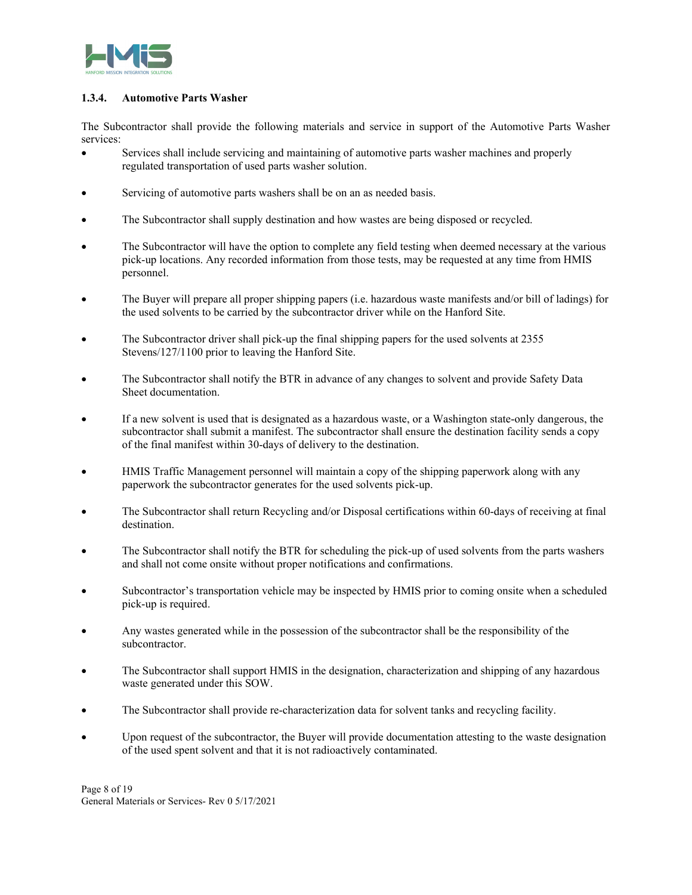

### **1.3.4. Automotive Parts Washer**

The Subcontractor shall provide the following materials and service in support of the Automotive Parts Washer services:

- Services shall include servicing and maintaining of automotive parts washer machines and properly regulated transportation of used parts washer solution.
- Servicing of automotive parts washers shall be on an as needed basis.
- The Subcontractor shall supply destination and how wastes are being disposed or recycled.
- The Subcontractor will have the option to complete any field testing when deemed necessary at the various pick-up locations. Any recorded information from those tests, may be requested at any time from HMIS personnel.
- The Buyer will prepare all proper shipping papers (i.e. hazardous waste manifests and/or bill of ladings) for the used solvents to be carried by the subcontractor driver while on the Hanford Site.
- The Subcontractor driver shall pick-up the final shipping papers for the used solvents at 2355 Stevens/127/1100 prior to leaving the Hanford Site.
- The Subcontractor shall notify the BTR in advance of any changes to solvent and provide Safety Data Sheet documentation.
- If a new solvent is used that is designated as a hazardous waste, or a Washington state-only dangerous, the subcontractor shall submit a manifest. The subcontractor shall ensure the destination facility sends a copy of the final manifest within 30-days of delivery to the destination.
- HMIS Traffic Management personnel will maintain a copy of the shipping paperwork along with any paperwork the subcontractor generates for the used solvents pick-up.
- The Subcontractor shall return Recycling and/or Disposal certifications within 60-days of receiving at final destination.
- The Subcontractor shall notify the BTR for scheduling the pick-up of used solvents from the parts washers and shall not come onsite without proper notifications and confirmations.
- Subcontractor's transportation vehicle may be inspected by HMIS prior to coming onsite when a scheduled pick-up is required.
- Any wastes generated while in the possession of the subcontractor shall be the responsibility of the subcontractor.
- The Subcontractor shall support HMIS in the designation, characterization and shipping of any hazardous waste generated under this SOW.
- The Subcontractor shall provide re-characterization data for solvent tanks and recycling facility.
- Upon request of the subcontractor, the Buyer will provide documentation attesting to the waste designation of the used spent solvent and that it is not radioactively contaminated.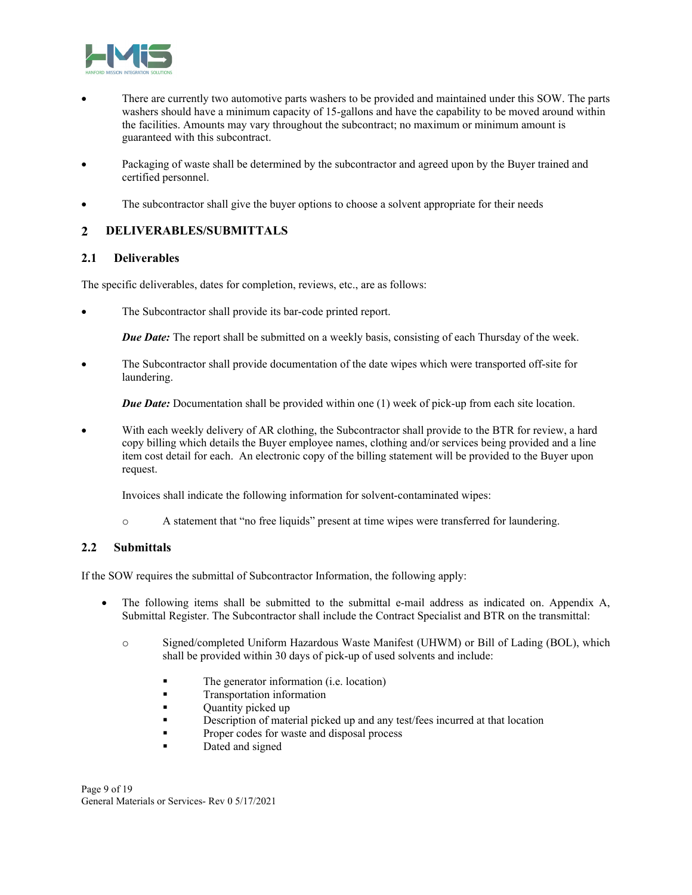

- There are currently two automotive parts washers to be provided and maintained under this SOW. The parts washers should have a minimum capacity of 15-gallons and have the capability to be moved around within the facilities. Amounts may vary throughout the subcontract; no maximum or minimum amount is guaranteed with this subcontract.
- Packaging of waste shall be determined by the subcontractor and agreed upon by the Buyer trained and certified personnel.
- The subcontractor shall give the buyer options to choose a solvent appropriate for their needs

#### **DELIVERABLES/SUBMITTALS**   $\overline{2}$

### **2.1 Deliverables**

The specific deliverables, dates for completion, reviews, etc., are as follows:

The Subcontractor shall provide its bar-code printed report.

*Due Date:* The report shall be submitted on a weekly basis, consisting of each Thursday of the week.

 The Subcontractor shall provide documentation of the date wipes which were transported off-site for laundering.

*Due Date:* Documentation shall be provided within one (1) week of pick-up from each site location.

 With each weekly delivery of AR clothing, the Subcontractor shall provide to the BTR for review, a hard copy billing which details the Buyer employee names, clothing and/or services being provided and a line item cost detail for each. An electronic copy of the billing statement will be provided to the Buyer upon request.

Invoices shall indicate the following information for solvent-contaminated wipes:

o A statement that "no free liquids" present at time wipes were transferred for laundering.

# **2.2 Submittals**

If the SOW requires the submittal of Subcontractor Information, the following apply:

- The following items shall be submitted to the submittal e-mail address as indicated on. Appendix A, Submittal Register. The Subcontractor shall include the Contract Specialist and BTR on the transmittal:
	- o Signed/completed Uniform Hazardous Waste Manifest (UHWM) or Bill of Lading (BOL), which shall be provided within 30 days of pick-up of used solvents and include:
		- The generator information (i.e. location)
		- **Transportation information**
		- **•** Quantity picked up
		- Description of material picked up and any test/fees incurred at that location
		- Proper codes for waste and disposal process
		- Dated and signed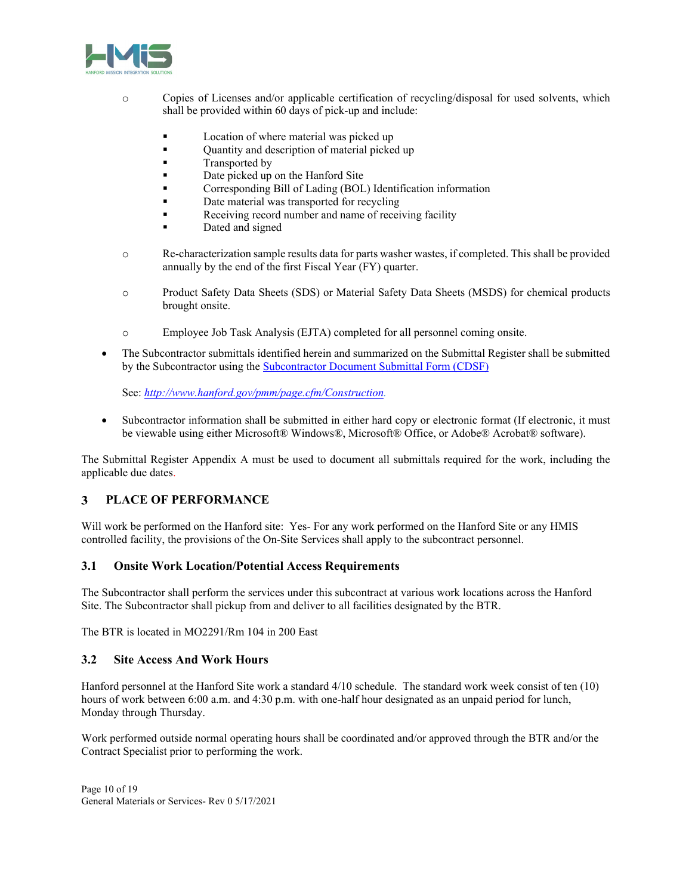

- o Copies of Licenses and/or applicable certification of recycling/disposal for used solvents, which shall be provided within 60 days of pick-up and include:
	- Location of where material was picked up
	- **•** Quantity and description of material picked up
	- **Transported by**
	- Date picked up on the Hanford Site
	- Corresponding Bill of Lading (BOL) Identification information
	- Date material was transported for recycling
	- Receiving record number and name of receiving facility
	- Dated and signed
- o Re-characterization sample results data for parts washer wastes, if completed. This shall be provided annually by the end of the first Fiscal Year (FY) quarter.
- o Product Safety Data Sheets (SDS) or Material Safety Data Sheets (MSDS) for chemical products brought onsite.
- o Employee Job Task Analysis (EJTA) completed for all personnel coming onsite.
- The Subcontractor submittals identified herein and summarized on the Submittal Register shall be submitted by the Subcontractor using the Subcontractor Document Submittal Form (CDSF)

See: *http://www.hanford.gov/pmm/page.cfm/Construction.*

 Subcontractor information shall be submitted in either hard copy or electronic format (If electronic, it must be viewable using either Microsoft® Windows®, Microsoft® Office, or Adobe® Acrobat® software).

The Submittal Register Appendix A must be used to document all submittals required for the work, including the applicable due dates.

#### 3 **PLACE OF PERFORMANCE**

Will work be performed on the Hanford site: Yes- For any work performed on the Hanford Site or any HMIS controlled facility, the provisions of the On-Site Services shall apply to the subcontract personnel.

### **3.1 Onsite Work Location/Potential Access Requirements**

The Subcontractor shall perform the services under this subcontract at various work locations across the Hanford Site. The Subcontractor shall pickup from and deliver to all facilities designated by the BTR.

The BTR is located in MO2291/Rm 104 in 200 East

# **3.2 Site Access And Work Hours**

Hanford personnel at the Hanford Site work a standard 4/10 schedule. The standard work week consist of ten (10) hours of work between 6:00 a.m. and 4:30 p.m. with one-half hour designated as an unpaid period for lunch, Monday through Thursday.

Work performed outside normal operating hours shall be coordinated and/or approved through the BTR and/or the Contract Specialist prior to performing the work.

Page 10 of 19 General Materials or Services- Rev 0 5/17/2021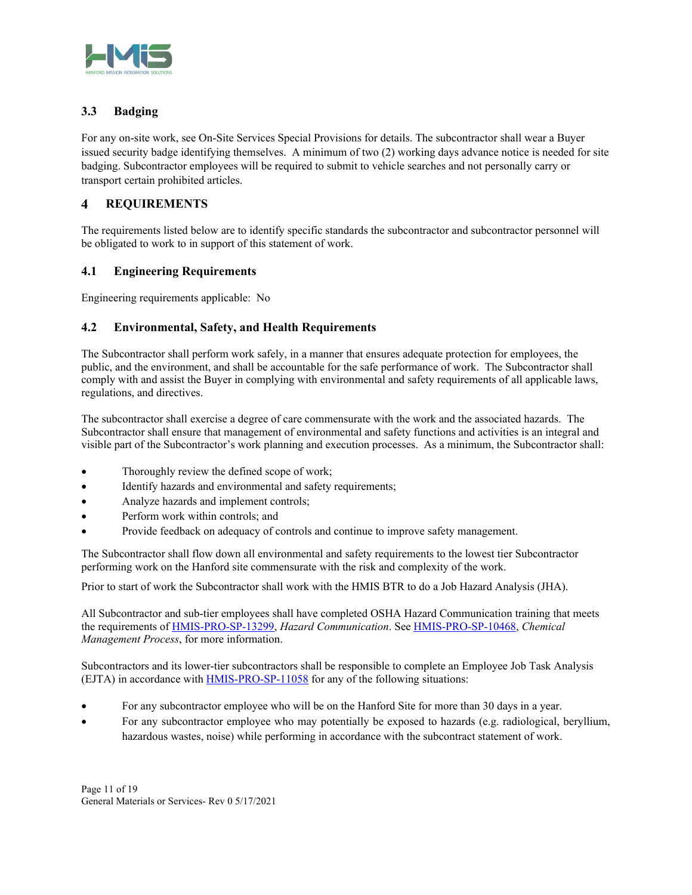

# **3.3 Badging**

For any on-site work, see On-Site Services Special Provisions for details. The subcontractor shall wear a Buyer issued security badge identifying themselves. A minimum of two (2) working days advance notice is needed for site badging. Subcontractor employees will be required to submit to vehicle searches and not personally carry or transport certain prohibited articles.

#### $\boldsymbol{4}$ **REQUIREMENTS**

The requirements listed below are to identify specific standards the subcontractor and subcontractor personnel will be obligated to work to in support of this statement of work.

# **4.1 Engineering Requirements**

Engineering requirements applicable: No

# **4.2 Environmental, Safety, and Health Requirements**

The Subcontractor shall perform work safely, in a manner that ensures adequate protection for employees, the public, and the environment, and shall be accountable for the safe performance of work. The Subcontractor shall comply with and assist the Buyer in complying with environmental and safety requirements of all applicable laws, regulations, and directives.

The subcontractor shall exercise a degree of care commensurate with the work and the associated hazards. The Subcontractor shall ensure that management of environmental and safety functions and activities is an integral and visible part of the Subcontractor's work planning and execution processes. As a minimum, the Subcontractor shall:

- Thoroughly review the defined scope of work;
- Identify hazards and environmental and safety requirements;
- Analyze hazards and implement controls;
- Perform work within controls; and
- Provide feedback on adequacy of controls and continue to improve safety management.

The Subcontractor shall flow down all environmental and safety requirements to the lowest tier Subcontractor performing work on the Hanford site commensurate with the risk and complexity of the work.

Prior to start of work the Subcontractor shall work with the HMIS BTR to do a Job Hazard Analysis (JHA).

All Subcontractor and sub-tier employees shall have completed OSHA Hazard Communication training that meets the requirements of HMIS-PRO-SP-13299, *Hazard Communication*. See HMIS-PRO-SP-10468, *Chemical Management Process*, for more information.

Subcontractors and its lower-tier subcontractors shall be responsible to complete an Employee Job Task Analysis (EJTA) in accordance with HMIS-PRO-SP-11058 for any of the following situations:

- For any subcontractor employee who will be on the Hanford Site for more than 30 days in a year.
- For any subcontractor employee who may potentially be exposed to hazards (e.g. radiological, beryllium, hazardous wastes, noise) while performing in accordance with the subcontract statement of work.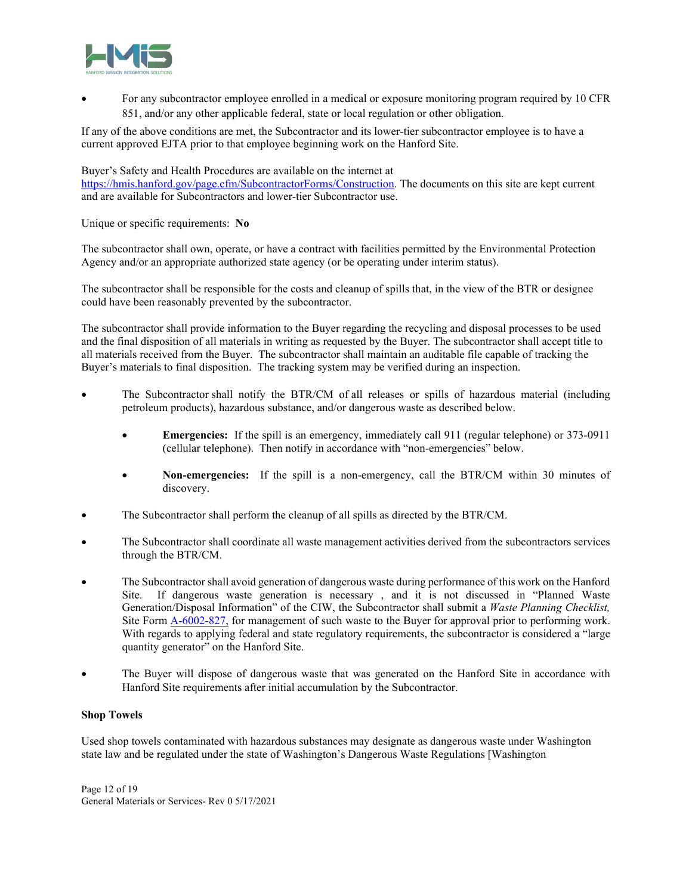

 For any subcontractor employee enrolled in a medical or exposure monitoring program required by 10 CFR 851, and/or any other applicable federal, state or local regulation or other obligation.

If any of the above conditions are met, the Subcontractor and its lower-tier subcontractor employee is to have a current approved EJTA prior to that employee beginning work on the Hanford Site.

#### Buyer's Safety and Health Procedures are available on the internet at

https://hmis.hanford.gov/page.cfm/SubcontractorForms/Construction. The documents on this site are kept current and are available for Subcontractors and lower-tier Subcontractor use.

Unique or specific requirements: **No** 

The subcontractor shall own, operate, or have a contract with facilities permitted by the Environmental Protection Agency and/or an appropriate authorized state agency (or be operating under interim status).

The subcontractor shall be responsible for the costs and cleanup of spills that, in the view of the BTR or designee could have been reasonably prevented by the subcontractor.

The subcontractor shall provide information to the Buyer regarding the recycling and disposal processes to be used and the final disposition of all materials in writing as requested by the Buyer. The subcontractor shall accept title to all materials received from the Buyer. The subcontractor shall maintain an auditable file capable of tracking the Buyer's materials to final disposition. The tracking system may be verified during an inspection.

- The Subcontractor shall notify the BTR/CM of all releases or spills of hazardous material (including petroleum products), hazardous substance, and/or dangerous waste as described below.
	- **Emergencies:** If the spill is an emergency, immediately call 911 (regular telephone) or 373-0911 (cellular telephone). Then notify in accordance with "non-emergencies" below.
	- **Non-emergencies:** If the spill is a non-emergency, call the BTR/CM within 30 minutes of discovery.
- The Subcontractor shall perform the cleanup of all spills as directed by the BTR/CM.
- The Subcontractor shall coordinate all waste management activities derived from the subcontractors services through the BTR/CM.
- The Subcontractor shall avoid generation of dangerous waste during performance of this work on the Hanford Site. If dangerous waste generation is necessary , and it is not discussed in "Planned Waste Generation/Disposal Information" of the CIW, the Subcontractor shall submit a *Waste Planning Checklist,* Site Form  $A-6002-827$ , for management of such waste to the Buyer for approval prior to performing work. With regards to applying federal and state regulatory requirements, the subcontractor is considered a "large quantity generator" on the Hanford Site.
- The Buyer will dispose of dangerous waste that was generated on the Hanford Site in accordance with Hanford Site requirements after initial accumulation by the Subcontractor.

#### **Shop Towels**

Used shop towels contaminated with hazardous substances may designate as dangerous waste under Washington state law and be regulated under the state of Washington's Dangerous Waste Regulations [Washington

Page 12 of 19 General Materials or Services- Rev 0 5/17/2021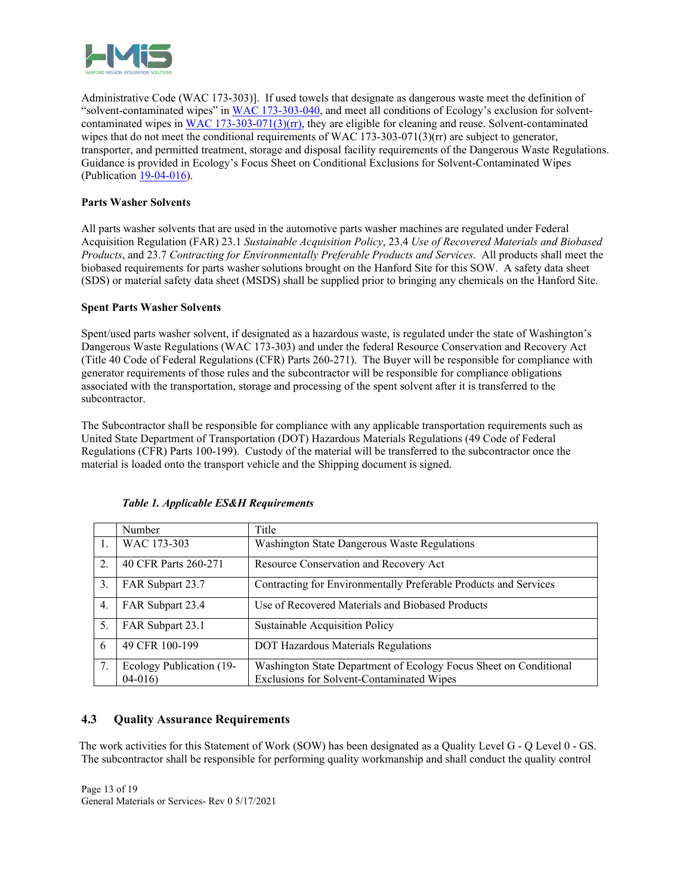

Administrative Code (WAC 173-303)]. If used towels that designate as dangerous waste meet the definition of "solvent-contaminated wipes" in WAC 173-303-040, and meet all conditions of Ecology's exclusion for solventcontaminated wipes in WAC  $173-303-071(3)(rr)$ , they are eligible for cleaning and reuse. Solvent-contaminated wipes that do not meet the conditional requirements of WAC 173-303-071(3)(rr) are subject to generator, transporter, and permitted treatment, storage and disposal facility requirements of the Dangerous Waste Regulations. Guidance is provided in Ecology's Focus Sheet on Conditional Exclusions for Solvent-Contaminated Wipes (Publication 19-04-016).

### **Parts Washer Solvents**

All parts washer solvents that are used in the automotive parts washer machines are regulated under Federal Acquisition Regulation (FAR) 23.1 *Sustainable Acquisition Policy*, 23.4 *Use of Recovered Materials and Biobased Products*, and 23.7 *Contracting for Environmentally Preferable Products and Services*. All products shall meet the biobased requirements for parts washer solutions brought on the Hanford Site for this SOW. A safety data sheet (SDS) or material safety data sheet (MSDS) shall be supplied prior to bringing any chemicals on the Hanford Site.

### **Spent Parts Washer Solvents**

Spent/used parts washer solvent, if designated as a hazardous waste, is regulated under the state of Washington's Dangerous Waste Regulations (WAC 173-303) and under the federal Resource Conservation and Recovery Act (Title 40 Code of Federal Regulations (CFR) Parts 260-271). The Buyer will be responsible for compliance with generator requirements of those rules and the subcontractor will be responsible for compliance obligations associated with the transportation, storage and processing of the spent solvent after it is transferred to the subcontractor.

The Subcontractor shall be responsible for compliance with any applicable transportation requirements such as United State Department of Transportation (DOT) Hazardous Materials Regulations (49 Code of Federal Regulations (CFR) Parts 100-199). Custody of the material will be transferred to the subcontractor once the material is loaded onto the transport vehicle and the Shipping document is signed.

|    | Number                   | Title                                                             |
|----|--------------------------|-------------------------------------------------------------------|
| 1. | WAC 173-303              | Washington State Dangerous Waste Regulations                      |
| 2. | 40 CFR Parts 260-271     | Resource Conservation and Recovery Act                            |
| 3. | FAR Subpart 23.7         | Contracting for Environmentally Preferable Products and Services  |
| 4. | FAR Subpart 23.4         | Use of Recovered Materials and Biobased Products                  |
| 5. | FAR Subpart 23.1         | Sustainable Acquisition Policy                                    |
| 6  | 49 CFR 100-199           | <b>DOT Hazardous Materials Regulations</b>                        |
| 7. | Ecology Publication (19- | Washington State Department of Ecology Focus Sheet on Conditional |
|    | $04-016$                 | Exclusions for Solvent-Contaminated Wipes                         |

### *Table 1. Applicable ES&H Requirements*

# **4.3 Quality Assurance Requirements**

 The work activities for this Statement of Work (SOW) has been designated as a Quality Level G - Q Level 0 - GS. The subcontractor shall be responsible for performing quality workmanship and shall conduct the quality control

Page 13 of 19 General Materials or Services- Rev 0 5/17/2021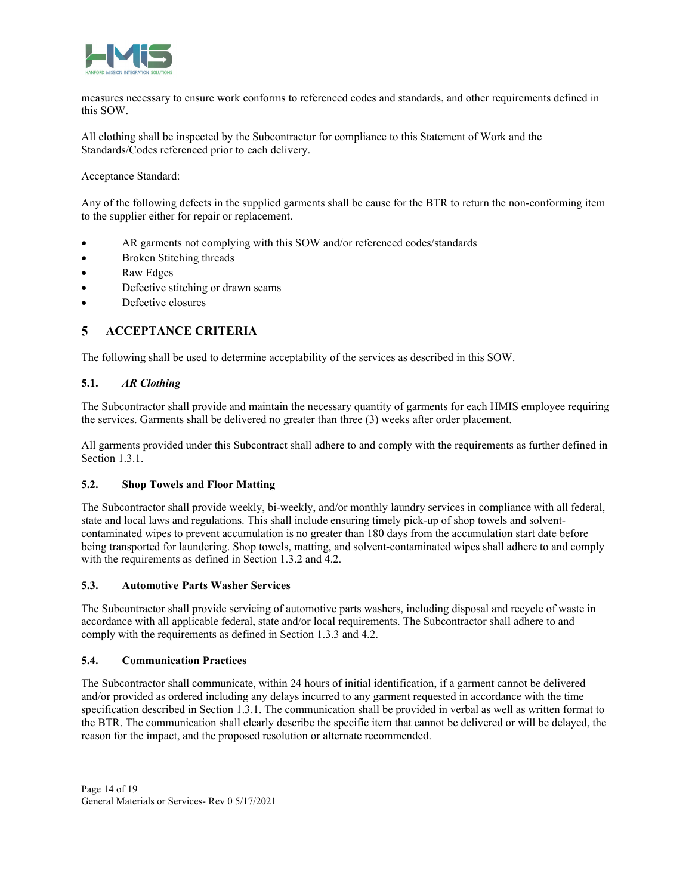

measures necessary to ensure work conforms to referenced codes and standards, and other requirements defined in this SOW.

All clothing shall be inspected by the Subcontractor for compliance to this Statement of Work and the Standards/Codes referenced prior to each delivery.

Acceptance Standard:

Any of the following defects in the supplied garments shall be cause for the BTR to return the non-conforming item to the supplier either for repair or replacement.

- AR garments not complying with this SOW and/or referenced codes/standards
- Broken Stitching threads
- Raw Edges
- Defective stitching or drawn seams
- Defective closures

#### **ACCEPTANCE CRITERIA**  5

The following shall be used to determine acceptability of the services as described in this SOW.

### **5.1.** *AR Clothing*

The Subcontractor shall provide and maintain the necessary quantity of garments for each HMIS employee requiring the services. Garments shall be delivered no greater than three (3) weeks after order placement.

All garments provided under this Subcontract shall adhere to and comply with the requirements as further defined in Section 1.3.1.

### **5.2. Shop Towels and Floor Matting**

The Subcontractor shall provide weekly, bi-weekly, and/or monthly laundry services in compliance with all federal, state and local laws and regulations. This shall include ensuring timely pick-up of shop towels and solventcontaminated wipes to prevent accumulation is no greater than 180 days from the accumulation start date before being transported for laundering. Shop towels, matting, and solvent-contaminated wipes shall adhere to and comply with the requirements as defined in Section 1.3.2 and 4.2.

### **5.3. Automotive Parts Washer Services**

The Subcontractor shall provide servicing of automotive parts washers, including disposal and recycle of waste in accordance with all applicable federal, state and/or local requirements. The Subcontractor shall adhere to and comply with the requirements as defined in Section 1.3.3 and 4.2.

#### **5.4. Communication Practices**

The Subcontractor shall communicate, within 24 hours of initial identification, if a garment cannot be delivered and/or provided as ordered including any delays incurred to any garment requested in accordance with the time specification described in Section 1.3.1. The communication shall be provided in verbal as well as written format to the BTR. The communication shall clearly describe the specific item that cannot be delivered or will be delayed, the reason for the impact, and the proposed resolution or alternate recommended.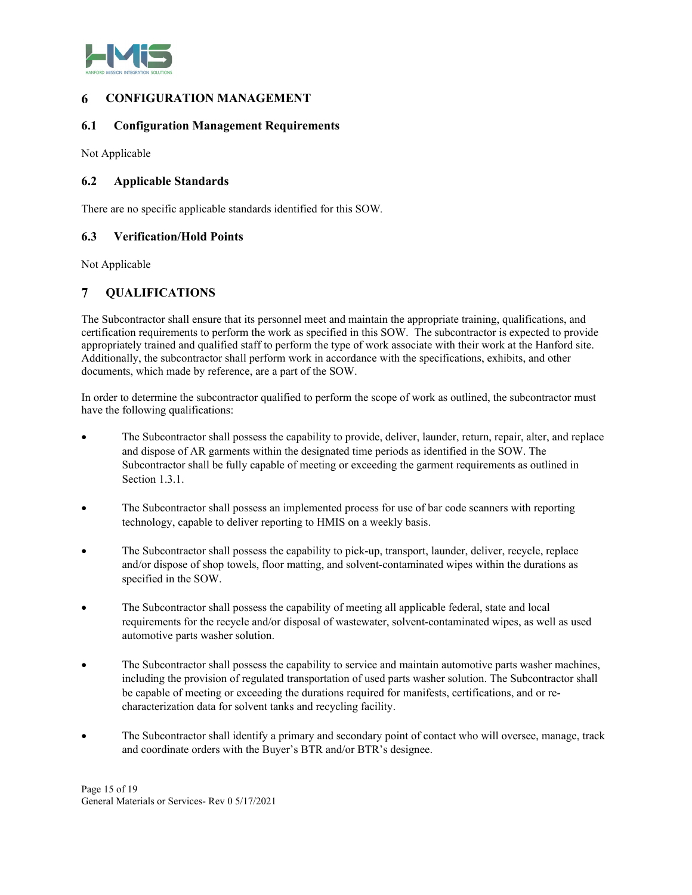

#### 6 **CONFIGURATION MANAGEMENT**

### **6.1 Configuration Management Requirements**

Not Applicable

### **6.2 Applicable Standards**

There are no specific applicable standards identified for this SOW*.*

### **6.3 Verification/Hold Points**

Not Applicable

#### $\overline{7}$ **QUALIFICATIONS**

The Subcontractor shall ensure that its personnel meet and maintain the appropriate training, qualifications, and certification requirements to perform the work as specified in this SOW. The subcontractor is expected to provide appropriately trained and qualified staff to perform the type of work associate with their work at the Hanford site. Additionally, the subcontractor shall perform work in accordance with the specifications, exhibits, and other documents, which made by reference, are a part of the SOW.

In order to determine the subcontractor qualified to perform the scope of work as outlined, the subcontractor must have the following qualifications:

- The Subcontractor shall possess the capability to provide, deliver, launder, return, repair, alter, and replace and dispose of AR garments within the designated time periods as identified in the SOW. The Subcontractor shall be fully capable of meeting or exceeding the garment requirements as outlined in Section 1.3.1.
- The Subcontractor shall possess an implemented process for use of bar code scanners with reporting technology, capable to deliver reporting to HMIS on a weekly basis.
- The Subcontractor shall possess the capability to pick-up, transport, launder, deliver, recycle, replace and/or dispose of shop towels, floor matting, and solvent-contaminated wipes within the durations as specified in the SOW.
- The Subcontractor shall possess the capability of meeting all applicable federal, state and local requirements for the recycle and/or disposal of wastewater, solvent-contaminated wipes, as well as used automotive parts washer solution.
- The Subcontractor shall possess the capability to service and maintain automotive parts washer machines, including the provision of regulated transportation of used parts washer solution. The Subcontractor shall be capable of meeting or exceeding the durations required for manifests, certifications, and or recharacterization data for solvent tanks and recycling facility.
- The Subcontractor shall identify a primary and secondary point of contact who will oversee, manage, track and coordinate orders with the Buyer's BTR and/or BTR's designee.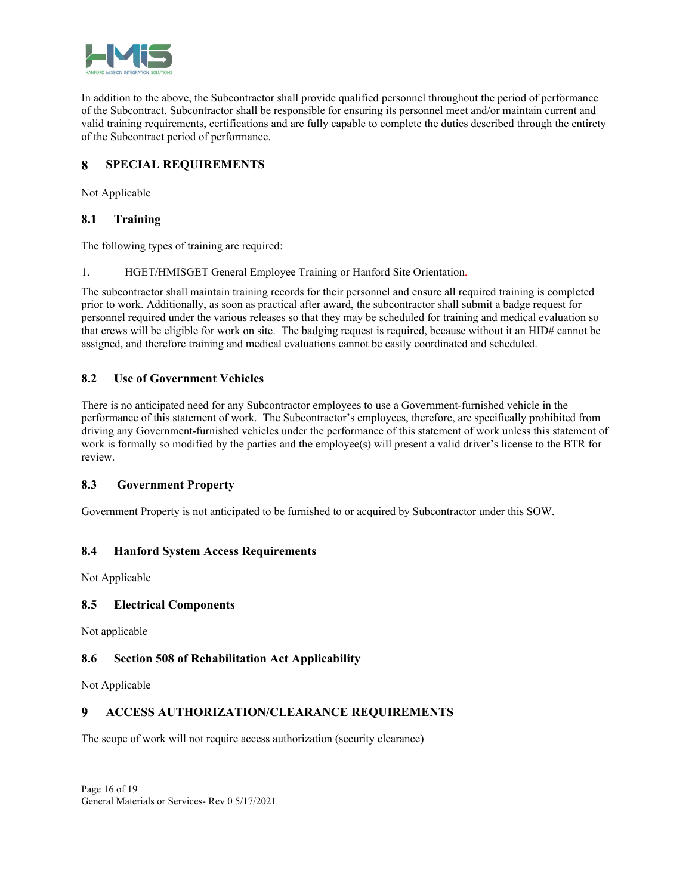

In addition to the above, the Subcontractor shall provide qualified personnel throughout the period of performance of the Subcontract. Subcontractor shall be responsible for ensuring its personnel meet and/or maintain current and valid training requirements, certifications and are fully capable to complete the duties described through the entirety of the Subcontract period of performance.

#### **SPECIAL REQUIREMENTS**  8

Not Applicable

# **8.1 Training**

The following types of training are required:

1. HGET/HMISGET General Employee Training or Hanford Site Orientation.

The subcontractor shall maintain training records for their personnel and ensure all required training is completed prior to work. Additionally, as soon as practical after award, the subcontractor shall submit a badge request for personnel required under the various releases so that they may be scheduled for training and medical evaluation so that crews will be eligible for work on site. The badging request is required, because without it an HID# cannot be assigned, and therefore training and medical evaluations cannot be easily coordinated and scheduled.

# **8.2 Use of Government Vehicles**

There is no anticipated need for any Subcontractor employees to use a Government-furnished vehicle in the performance of this statement of work. The Subcontractor's employees, therefore, are specifically prohibited from driving any Government-furnished vehicles under the performance of this statement of work unless this statement of work is formally so modified by the parties and the employee(s) will present a valid driver's license to the BTR for review.

# **8.3 Government Property**

Government Property is not anticipated to be furnished to or acquired by Subcontractor under this SOW.

# **8.4 Hanford System Access Requirements**

Not Applicable

### **8.5 Electrical Components**

Not applicable

# **8.6 Section 508 of Rehabilitation Act Applicability**

Not Applicable

#### $\boldsymbol{Q}$ **ACCESS AUTHORIZATION/CLEARANCE REQUIREMENTS**

The scope of work will not require access authorization (security clearance)

Page 16 of 19 General Materials or Services- Rev 0 5/17/2021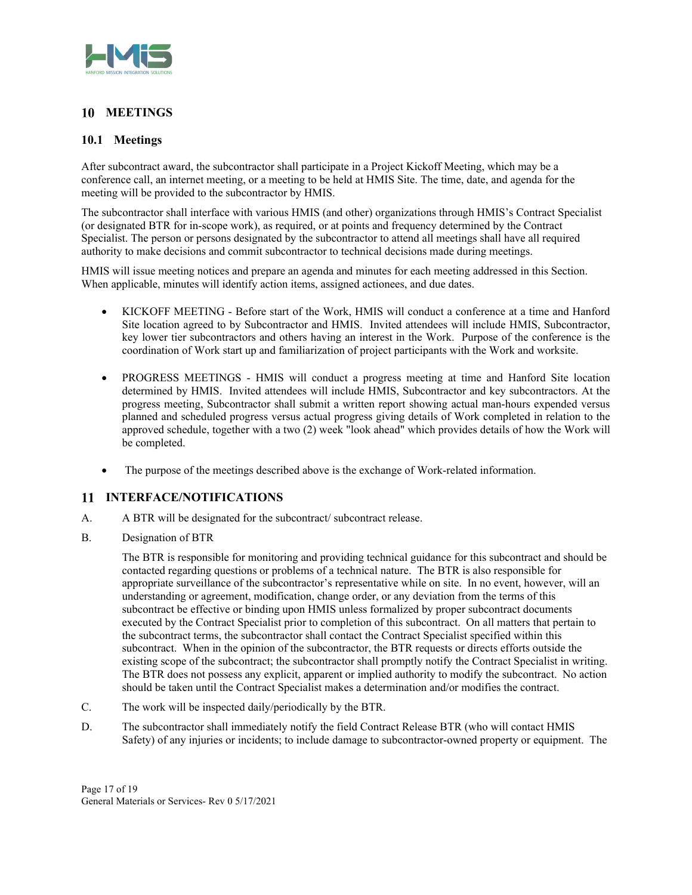

# 10 **MEETINGS**

# **10.1 Meetings**

After subcontract award, the subcontractor shall participate in a Project Kickoff Meeting, which may be a conference call, an internet meeting, or a meeting to be held at HMIS Site. The time, date, and agenda for the meeting will be provided to the subcontractor by HMIS.

The subcontractor shall interface with various HMIS (and other) organizations through HMIS's Contract Specialist (or designated BTR for in-scope work), as required, or at points and frequency determined by the Contract Specialist. The person or persons designated by the subcontractor to attend all meetings shall have all required authority to make decisions and commit subcontractor to technical decisions made during meetings.

HMIS will issue meeting notices and prepare an agenda and minutes for each meeting addressed in this Section. When applicable, minutes will identify action items, assigned actionees, and due dates.

- KICKOFF MEETING Before start of the Work, HMIS will conduct a conference at a time and Hanford Site location agreed to by Subcontractor and HMIS. Invited attendees will include HMIS, Subcontractor, key lower tier subcontractors and others having an interest in the Work. Purpose of the conference is the coordination of Work start up and familiarization of project participants with the Work and worksite.
- PROGRESS MEETINGS HMIS will conduct a progress meeting at time and Hanford Site location determined by HMIS. Invited attendees will include HMIS, Subcontractor and key subcontractors. At the progress meeting, Subcontractor shall submit a written report showing actual man-hours expended versus planned and scheduled progress versus actual progress giving details of Work completed in relation to the approved schedule, together with a two (2) week "look ahead" which provides details of how the Work will be completed.
- The purpose of the meetings described above is the exchange of Work-related information.

# **INTERFACE/NOTIFICATIONS**

- A. A BTR will be designated for the subcontract/ subcontract release.
- B. Designation of BTR

The BTR is responsible for monitoring and providing technical guidance for this subcontract and should be contacted regarding questions or problems of a technical nature. The BTR is also responsible for appropriate surveillance of the subcontractor's representative while on site. In no event, however, will an understanding or agreement, modification, change order, or any deviation from the terms of this subcontract be effective or binding upon HMIS unless formalized by proper subcontract documents executed by the Contract Specialist prior to completion of this subcontract. On all matters that pertain to the subcontract terms, the subcontractor shall contact the Contract Specialist specified within this subcontract. When in the opinion of the subcontractor, the BTR requests or directs efforts outside the existing scope of the subcontract; the subcontractor shall promptly notify the Contract Specialist in writing. The BTR does not possess any explicit, apparent or implied authority to modify the subcontract. No action should be taken until the Contract Specialist makes a determination and/or modifies the contract.

- C. The work will be inspected daily/periodically by the BTR.
- D. The subcontractor shall immediately notify the field Contract Release BTR (who will contact HMIS Safety) of any injuries or incidents; to include damage to subcontractor-owned property or equipment. The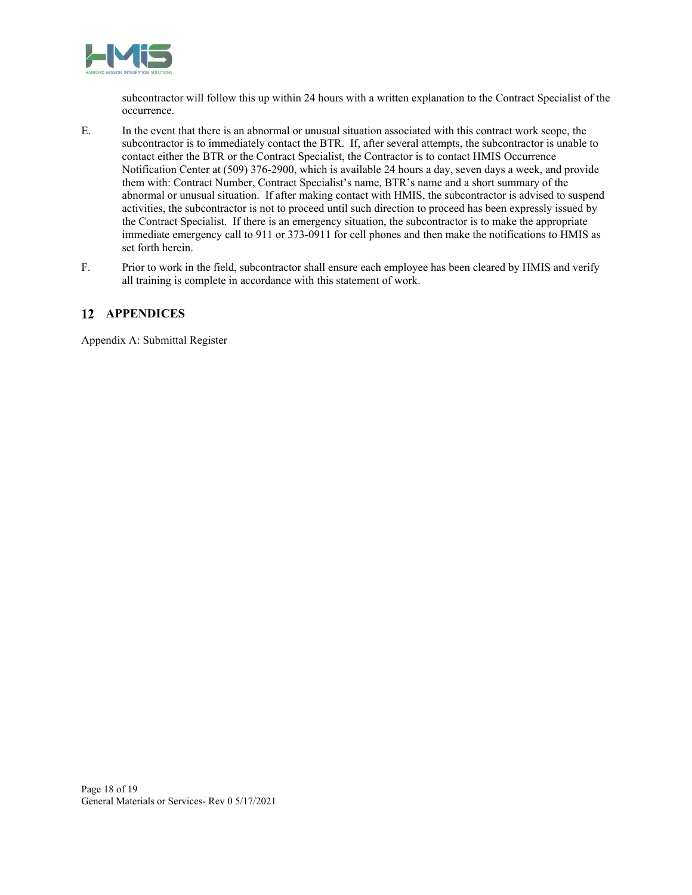

subcontractor will follow this up within 24 hours with a written explanation to the Contract Specialist of the occurrence.

- E. In the event that there is an abnormal or unusual situation associated with this contract work scope, the subcontractor is to immediately contact the BTR. If, after several attempts, the subcontractor is unable to contact either the BTR or the Contract Specialist, the Contractor is to contact HMIS Occurrence Notification Center at (509) 376-2900, which is available 24 hours a day, seven days a week, and provide them with: Contract Number, Contract Specialist's name, BTR's name and a short summary of the abnormal or unusual situation. If after making contact with HMIS, the subcontractor is advised to suspend activities, the subcontractor is not to proceed until such direction to proceed has been expressly issued by the Contract Specialist. If there is an emergency situation, the subcontractor is to make the appropriate immediate emergency call to 911 or 373-0911 for cell phones and then make the notifications to HMIS as set forth herein.
- F. Prior to work in the field, subcontractor shall ensure each employee has been cleared by HMIS and verify all training is complete in accordance with this statement of work.

# **APPENDICES**

Appendix A: Submittal Register